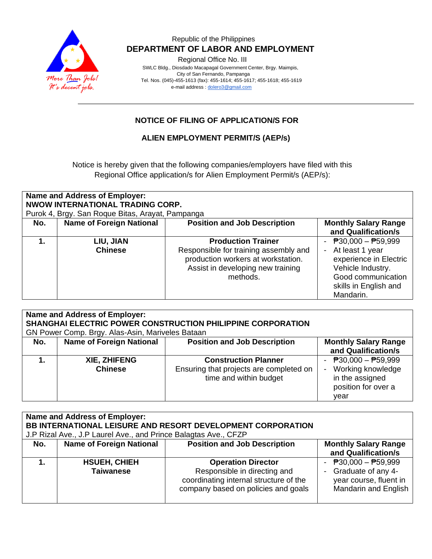

### Republic of the Philippines  **DEPARTMENT OF LABOR AND EMPLOYMENT**

Regional Office No. III

 SWLC Bldg., Diosdado Macapagal Government Center, Brgy. Maimpis, City of San Fernando, Pampanga Tel. Nos. (045)-455-1613 (fax): 455-1614; 455-1617; 455-1618; 455-1619 e-mail address [: dolero3@gmail.com](mailto:dolero3@gmail.com)

## **NOTICE OF FILING OF APPLICATION/S FOR**

### **ALIEN EMPLOYMENT PERMIT/S (AEP/s)**

Notice is hereby given that the following companies/employers have filed with this Regional Office application/s for Alien Employment Permit/s (AEP/s):

| <b>Name and Address of Employer:</b><br>NWOW INTERNATIONAL TRADING CORP.<br>Purok 4, Brgy. San Roque Bitas, Arayat, Pampanga |                             |                                                                                                                                                           |                                                                                                                                                                         |  |
|------------------------------------------------------------------------------------------------------------------------------|-----------------------------|-----------------------------------------------------------------------------------------------------------------------------------------------------------|-------------------------------------------------------------------------------------------------------------------------------------------------------------------------|--|
| No.                                                                                                                          | Name of Foreign National    | <b>Position and Job Description</b>                                                                                                                       | <b>Monthly Salary Range</b><br>and Qualification/s                                                                                                                      |  |
| 1.                                                                                                                           | LIU, JIAN<br><b>Chinese</b> | <b>Production Trainer</b><br>Responsible for training assembly and<br>production workers at workstation.<br>Assist in developing new training<br>methods. | $\overline{P}30,000 - \overline{P}59,999$<br>At least 1 year<br>experience in Electric<br>Vehicle Industry.<br>Good communication<br>skills in English and<br>Mandarin. |  |

| Name and Address of Employer:<br>SHANGHAI ELECTRIC POWER CONSTRUCTION PHILIPPINE CORPORATION<br>GN Power Comp. Brgy. Alas-Asin, Mariveles Bataan |                                       |                                                                                                  |                                                                                              |
|--------------------------------------------------------------------------------------------------------------------------------------------------|---------------------------------------|--------------------------------------------------------------------------------------------------|----------------------------------------------------------------------------------------------|
| No.                                                                                                                                              | <b>Name of Foreign National</b>       | <b>Position and Job Description</b>                                                              | <b>Monthly Salary Range</b><br>and Qualification/s                                           |
|                                                                                                                                                  | <b>XIE, ZHIFENG</b><br><b>Chinese</b> | <b>Construction Planner</b><br>Ensuring that projects are completed on<br>time and within budget | - $P30,000 - P59,999$<br>Working knowledge<br>in the assigned<br>position for over a<br>year |

| Name and Address of Employer: |                                                                 |                                        |                             |  |  |
|-------------------------------|-----------------------------------------------------------------|----------------------------------------|-----------------------------|--|--|
|                               | BB INTERNATIONAL LEISURE AND RESORT DEVELOPMENT CORPORATION     |                                        |                             |  |  |
|                               | J.P Rizal Ave., J.P Laurel Ave., and Prince Balagtas Ave., CFZP |                                        |                             |  |  |
| No.                           | <b>Name of Foreign National</b>                                 | <b>Position and Job Description</b>    | <b>Monthly Salary Range</b> |  |  |
|                               |                                                                 |                                        | and Qualification/s         |  |  |
|                               | <b>HSUEH, CHIEH</b>                                             | <b>Operation Director</b>              | - $P30,000 - P59,999$       |  |  |
|                               | <b>Taiwanese</b>                                                | Responsible in directing and           | - Graduate of any 4-        |  |  |
|                               |                                                                 | coordinating internal structure of the | year course, fluent in      |  |  |
|                               |                                                                 | company based on policies and goals    | <b>Mandarin and English</b> |  |  |
|                               |                                                                 |                                        |                             |  |  |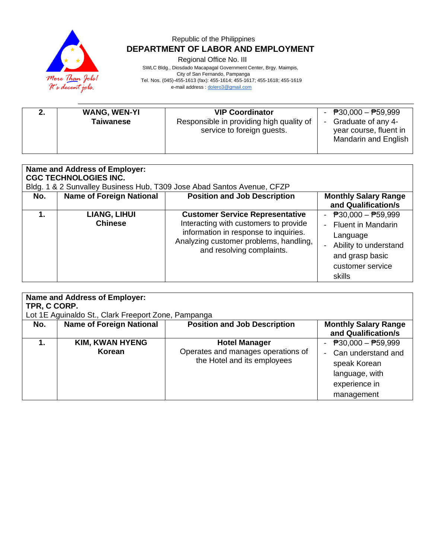

## Republic of the Philippines  **DEPARTMENT OF LABOR AND EMPLOYMENT**

Regional Office No. III

 SWLC Bldg., Diosdado Macapagal Government Center, Brgy. Maimpis, City of San Fernando, Pampanga Tel. Nos. (045)-455-1613 (fax): 455-1614; 455-1617; 455-1618; 455-1619

e-mail address [: dolero3@gmail.com](mailto:dolero3@gmail.com)

| <b>WANG, WEN-YI</b><br><b>Taiwanese</b> | <b>VIP Coordinator</b><br>Responsible in providing high quality of<br>service to foreign guests. | - $P30,000 - P59,999$<br>- Graduate of any 4-<br>year course, fluent in<br>Mandarin and English |
|-----------------------------------------|--------------------------------------------------------------------------------------------------|-------------------------------------------------------------------------------------------------|
|                                         |                                                                                                  |                                                                                                 |

| Name and Address of Employer:<br><b>CGC TECHNOLOGIES INC.</b><br>Bldg. 1 & 2 Sunvalley Business Hub, T309 Jose Abad Santos Avenue, CFZP |                                       |                                                                                                                                                                                                 |                                                                                                                                                           |
|-----------------------------------------------------------------------------------------------------------------------------------------|---------------------------------------|-------------------------------------------------------------------------------------------------------------------------------------------------------------------------------------------------|-----------------------------------------------------------------------------------------------------------------------------------------------------------|
| No.                                                                                                                                     | <b>Name of Foreign National</b>       | <b>Position and Job Description</b>                                                                                                                                                             | <b>Monthly Salary Range</b><br>and Qualification/s                                                                                                        |
|                                                                                                                                         | <b>LIANG, LIHUI</b><br><b>Chinese</b> | <b>Customer Service Representative</b><br>Interacting with customers to provide<br>information in response to inquiries.<br>Analyzing customer problems, handling,<br>and resolving complaints. | - $\overline{P}30,000 - \overline{P}59,999$<br>- Fluent in Mandarin<br>Language<br>Ability to understand<br>and grasp basic<br>customer service<br>skills |

| <b>Name and Address of Employer:</b><br>TPR, C CORP.<br>Lot 1E Aguinaldo St., Clark Freeport Zone, Pampanga |                                  |                                                                                           |                                                                                                              |  |
|-------------------------------------------------------------------------------------------------------------|----------------------------------|-------------------------------------------------------------------------------------------|--------------------------------------------------------------------------------------------------------------|--|
| No.                                                                                                         | <b>Name of Foreign National</b>  | <b>Position and Job Description</b>                                                       | <b>Monthly Salary Range</b><br>and Qualification/s                                                           |  |
| 1.                                                                                                          | <b>KIM, KWAN HYENG</b><br>Korean | <b>Hotel Manager</b><br>Operates and manages operations of<br>the Hotel and its employees | - $P30,000 - P59,999$<br>Can understand and<br>speak Korean<br>language, with<br>experience in<br>management |  |